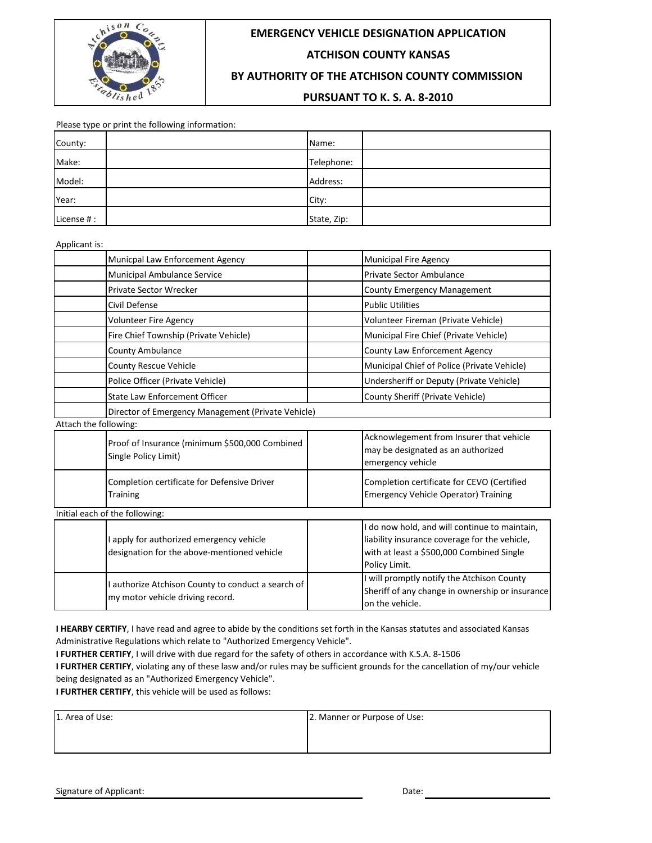

# **EMERGENCY VEHICLE DESIGNATION APPLICATION**

# **ATCHISON COUNTY KANSAS**

# **BY AUTHORITY OF THE ATCHISON COUNTY COMMISSION**

#### **PURSUANT TO K. S. A. 8-2010**

Please type or print the following information:

| County:    | Name:    |             |
|------------|----------|-------------|
| Make:      |          | Telephone:  |
| Model:     | Address: |             |
| Year:      | City:    |             |
| License #: |          | State, Zip: |

Applicant is:

| Municpal Law Enforcement Agency                                                         | <b>Municipal Fire Agency</b>                                                                                                                               |  |  |  |  |  |
|-----------------------------------------------------------------------------------------|------------------------------------------------------------------------------------------------------------------------------------------------------------|--|--|--|--|--|
| Municipal Ambulance Service                                                             | <b>Private Sector Ambulance</b>                                                                                                                            |  |  |  |  |  |
| Private Sector Wrecker                                                                  | County Emergency Management                                                                                                                                |  |  |  |  |  |
| Civil Defense                                                                           | <b>Public Utilities</b>                                                                                                                                    |  |  |  |  |  |
| Volunteer Fire Agency                                                                   | Volunteer Fireman (Private Vehicle)                                                                                                                        |  |  |  |  |  |
| Fire Chief Township (Private Vehicle)                                                   | Municipal Fire Chief (Private Vehicle)                                                                                                                     |  |  |  |  |  |
| <b>County Ambulance</b>                                                                 | <b>County Law Enforcement Agency</b>                                                                                                                       |  |  |  |  |  |
| <b>County Rescue Vehicle</b>                                                            | Municipal Chief of Police (Private Vehicle)                                                                                                                |  |  |  |  |  |
| Police Officer (Private Vehicle)                                                        | Undersheriff or Deputy (Private Vehicle)                                                                                                                   |  |  |  |  |  |
| <b>State Law Enforcement Officer</b>                                                    | County Sheriff (Private Vehicle)                                                                                                                           |  |  |  |  |  |
|                                                                                         | Director of Emergency Management (Private Vehicle)                                                                                                         |  |  |  |  |  |
| Attach the following:                                                                   |                                                                                                                                                            |  |  |  |  |  |
| Proof of Insurance (minimum \$500,000 Combined<br>Single Policy Limit)                  | Acknowlegement from Insurer that vehicle<br>may be designated as an authorized<br>emergency vehicle                                                        |  |  |  |  |  |
| Completion certificate for Defensive Driver<br>Training                                 | Completion certificate for CEVO (Certified<br><b>Emergency Vehicle Operator) Training</b>                                                                  |  |  |  |  |  |
| Initial each of the following:                                                          |                                                                                                                                                            |  |  |  |  |  |
| I apply for authorized emergency vehicle<br>designation for the above-mentioned vehicle | do now hold, and will continue to maintain,<br>liability insurance coverage for the vehicle,<br>with at least a \$500,000 Combined Single<br>Policy Limit. |  |  |  |  |  |
| I authorize Atchison County to conduct a search of<br>my motor vehicle driving record.  | will promptly notify the Atchison County<br>Sheriff of any change in ownership or insurance<br>on the vehicle.                                             |  |  |  |  |  |

**I HEARBY CERTIFY**, I have read and agree to abide by the conditions set forth in the Kansas statutes and associated Kansas Administrative Regulations which relate to "Authorized Emergency Vehicle".

**I FURTHER CERTIFY**, I will drive with due regard for the safety of others in accordance with K.S.A. 8-1506

**I FURTHER CERTIFY**, violating any of these lasw and/or rules may be sufficient grounds for the cancellation of my/our vehicle being designated as an "Authorized Emergency Vehicle".

**I FURTHER CERTIFY**, this vehicle will be used as follows:

| 1. Area of Use: | 2. Manner or Purpose of Use: |
|-----------------|------------------------------|
|                 |                              |
|                 |                              |